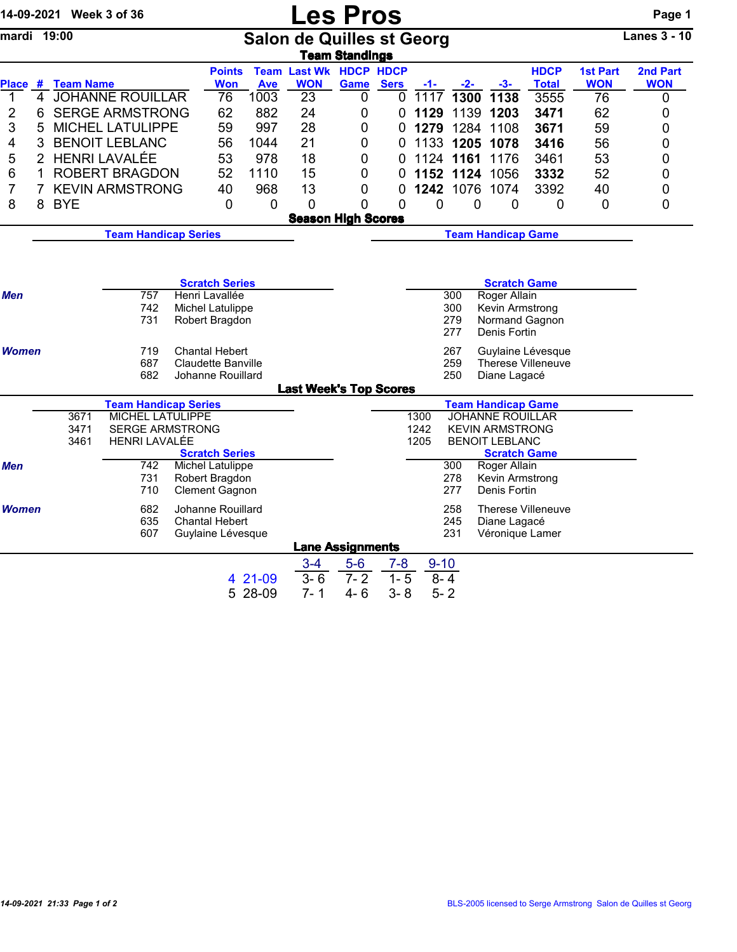|              |                             | 14-09-2021 Week 3 of 36 |                                            |  |                                            |                    | <b>Les Pros</b>                  |                           |             |              |             |                                                   |                                         |                 | Page 1              |  |
|--------------|-----------------------------|-------------------------|--------------------------------------------|--|--------------------------------------------|--------------------|----------------------------------|---------------------------|-------------|--------------|-------------|---------------------------------------------------|-----------------------------------------|-----------------|---------------------|--|
| mardi 19:00  |                             |                         |                                            |  |                                            |                    | <b>Salon de Quilles st Georg</b> | <b>Team Standings</b>     |             |              |             |                                                   |                                         |                 | <b>Lanes 3 - 10</b> |  |
|              |                             |                         |                                            |  | <b>Points</b>                              |                    | <b>Team Last Wk HDCP HDCP</b>    |                           |             |              |             |                                                   | <b>HDCP</b>                             | <b>1st Part</b> | 2nd Part            |  |
|              |                             | Place # Team Name       | 4 JOHANNE ROUILLAR                         |  | <b>Won</b>                                 | <b>Ave</b><br>1003 | <b>WON</b><br>23                 | Game                      | <b>Sers</b> | -1-<br>1117  | $-2-$       | $-3-$                                             | <b>Total</b>                            | <b>WON</b>      | <b>WON</b>          |  |
| 1<br>2       | 6                           |                         | <b>SERGE ARMSTRONG</b>                     |  | 76<br>62                                   | 882                | 24                               | 0<br>0                    | 0<br>0      | 1129         | 1300        | 1138<br>1139 1203                                 | 3555<br>3471                            | 76<br>62        | 0<br>0              |  |
| 3            | 5                           |                         | <b>MICHEL LATULIPPE</b>                    |  | 59                                         | 997                | 28                               | 0                         | 0           | 1279         | 1284        | 1108                                              | 3671                                    | 59              | 0                   |  |
| 4            | 3                           |                         | <b>BENOIT LEBLANC</b>                      |  | 56                                         | 1044               | 21                               | 0                         | 0           | 1133         |             | 1205 1078                                         | 3416                                    | 56              | 0                   |  |
| 5            | $\overline{2}$              |                         | <b>HENRI LAVALÉE</b>                       |  | 53                                         | 978                | 18                               | 0                         | 0           | 1124         | 1161        | 1176                                              | 3461                                    | 53              | 0                   |  |
| 6            | 1                           |                         | <b>ROBERT BRAGDON</b>                      |  | 52                                         | 1110               | 15                               | 0                         | 0           |              |             | 1152 1124 1056                                    | 3332                                    | 52              | 0                   |  |
| 7            | $\overline{7}$              |                         | <b>KEVIN ARMSTRONG</b>                     |  | 40                                         | 968                | 13                               | 0                         | 0           | 1242         | 1076        | 1074                                              | 3392                                    | 40              | 0                   |  |
| 8            | 8                           | <b>BYE</b>              |                                            |  | $\overline{0}$                             | 0                  | 0                                | 0                         | 0           | 0            | $\mathbf 0$ | $\mathbf 0$                                       | $\overline{0}$                          | $\mathbf 0$     | 0                   |  |
|              |                             |                         |                                            |  |                                            |                    | <b>Season High Scores</b>        |                           |             |              |             |                                                   |                                         |                 |                     |  |
|              | <b>Team Handicap Series</b> |                         |                                            |  |                                            |                    |                                  | <b>Team Handicap Game</b> |             |              |             |                                                   |                                         |                 |                     |  |
|              |                             |                         |                                            |  |                                            |                    |                                  |                           |             |              |             |                                                   |                                         |                 |                     |  |
|              |                             |                         |                                            |  |                                            |                    |                                  |                           |             |              |             |                                                   |                                         |                 |                     |  |
|              |                             |                         |                                            |  | <b>Scratch Series</b>                      |                    |                                  |                           |             |              |             | <b>Scratch Game</b>                               |                                         |                 |                     |  |
| Men          |                             |                         | 757                                        |  | Henri Lavallée                             |                    |                                  |                           |             |              | 300         | Roger Allain                                      |                                         |                 |                     |  |
|              |                             |                         | 742                                        |  | Michel Latulippe                           |                    |                                  |                           |             |              | 300         | Kevin Armstrong                                   |                                         |                 |                     |  |
|              |                             |                         | 731                                        |  | Robert Bragdon                             |                    |                                  |                           |             |              | 279<br>277  | Normand Gagnon<br>Denis Fortin                    |                                         |                 |                     |  |
|              |                             |                         |                                            |  | <b>Chantal Hebert</b>                      |                    |                                  |                           |             |              | 267         |                                                   |                                         |                 |                     |  |
| <b>Women</b> |                             |                         | 719<br>687                                 |  | <b>Claudette Banville</b>                  |                    |                                  |                           |             |              | 259         |                                                   | Guylaine Lévesque<br>Therese Villeneuve |                 |                     |  |
|              |                             |                         | 682                                        |  | Johanne Rouillard                          |                    |                                  |                           |             |              | 250         | Diane Lagacé                                      |                                         |                 |                     |  |
|              |                             |                         |                                            |  |                                            |                    | <b>Last Week's Top Scores</b>    |                           |             |              |             |                                                   |                                         |                 |                     |  |
|              |                             |                         | <b>Team Handicap Series</b>                |  |                                            |                    |                                  |                           |             |              |             | <b>Team Handicap Game</b>                         |                                         |                 |                     |  |
|              |                             | 3671<br>3471            | MICHEL LATULIPPE<br><b>SERGE ARMSTRONG</b> |  |                                            |                    |                                  |                           |             | 1300<br>1242 |             | <b>JOHANNE ROUILLAR</b><br><b>KEVIN ARMSTRONG</b> |                                         |                 |                     |  |
|              |                             | 3461                    | <b>HENRI LAVALÉE</b>                       |  |                                            |                    |                                  |                           |             | 1205         |             | <b>BENOIT LEBLANC</b>                             |                                         |                 |                     |  |
|              |                             |                         |                                            |  | <b>Scratch Series</b>                      |                    |                                  |                           |             |              |             | <b>Scratch Game</b>                               |                                         |                 |                     |  |
| Men          |                             |                         | 742                                        |  | <b>Michel Latulippe</b>                    |                    |                                  |                           |             |              | 300         | Roger Allain                                      |                                         |                 |                     |  |
|              |                             |                         | 731<br>710                                 |  | Robert Bragdon<br><b>Clement Gagnon</b>    |                    |                                  |                           |             |              | 278<br>277  | Kevin Armstrong<br>Denis Fortin                   |                                         |                 |                     |  |
|              |                             |                         |                                            |  |                                            |                    |                                  |                           |             |              |             |                                                   |                                         |                 |                     |  |
| <b>Women</b> |                             |                         | 682<br>635                                 |  | Johanne Rouillard<br><b>Chantal Hebert</b> |                    |                                  |                           |             |              | 258<br>245  | Diane Lagacé                                      | <b>Therese Villeneuve</b>               |                 |                     |  |
|              |                             |                         | 607                                        |  | Guylaine Lévesque                          |                    |                                  |                           |             |              | 231         | Véronique Lamer                                   |                                         |                 |                     |  |
|              |                             |                         |                                            |  |                                            |                    |                                  | <b>Lane Assignments</b>   |             |              |             |                                                   |                                         |                 |                     |  |
|              |                             |                         |                                            |  |                                            |                    | $3 - 4$                          | $5-6$                     | $7 - 8$     | $9 - 10$     |             |                                                   |                                         |                 |                     |  |
|              |                             |                         |                                            |  |                                            | 4 21-09            | $3 - 6$                          | $7 - 2$                   | $1 - 5$     | $8 - 4$      |             |                                                   |                                         |                 |                     |  |
|              |                             |                         |                                            |  |                                            | 5 28-09            | $7 - 1$                          | $4 - 6$                   | $3 - 8$     | $5 - 2$      |             |                                                   |                                         |                 |                     |  |